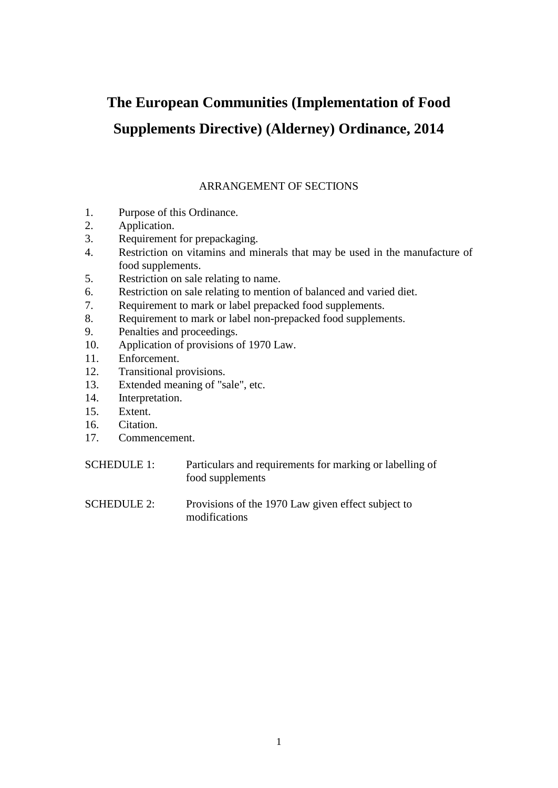# **The European Communities (Implementation of Food Supplements Directive) (Alderney) Ordinance, 2014**

# ARRANGEMENT OF SECTIONS

- 1. Purpose of this Ordinance.
- 2. Application.
- 3. Requirement for prepackaging.
- 4. Restriction on vitamins and minerals that may be used in the manufacture of food supplements.
- 5. Restriction on sale relating to name.
- 6. Restriction on sale relating to mention of balanced and varied diet.
- 7. Requirement to mark or label prepacked food supplements.
- 8. Requirement to mark or label non-prepacked food supplements.
- 9. Penalties and proceedings.
- 10. Application of provisions of 1970 Law.
- 11. Enforcement.
- 12. Transitional provisions.
- 13. Extended meaning of "sale", etc.
- 14. Interpretation.
- 15. Extent.
- 16. Citation.
- 17. Commencement.
- SCHEDULE 1: Particulars and requirements for marking or labelling of food supplements
- SCHEDULE 2: Provisions of the 1970 Law given effect subject to modifications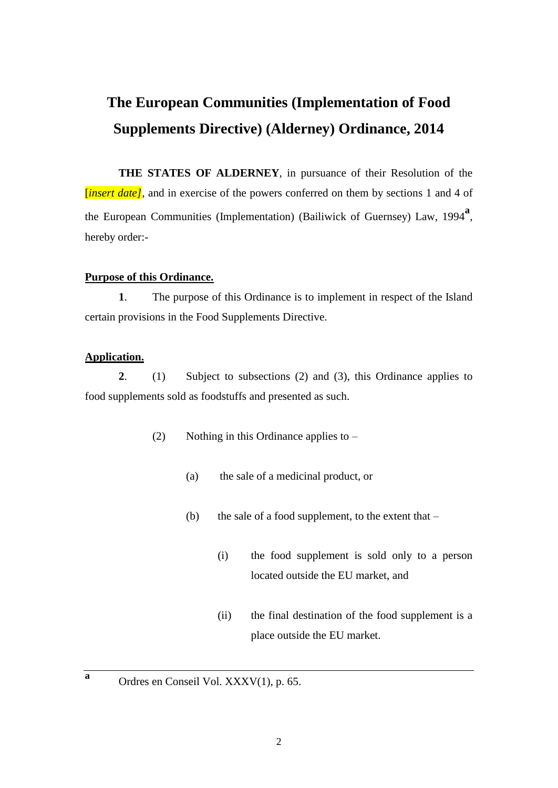# **The European Communities (Implementation of Food Supplements Directive) (Alderney) Ordinance, 2014**

**THE STATES OF ALDERNEY**, in pursuance of their Resolution of the *linsert date]*, and in exercise of the powers conferred on them by sections 1 and 4 of the European Communities (Implementation) (Bailiwick of Guernsey) Law, 1994**<sup>a</sup>** , hereby order:-

## **Purpose of this Ordinance.**

**1**. The purpose of this Ordinance is to implement in respect of the Island certain provisions in the Food Supplements Directive.

## **Application.**

**a**

**2**. (1) Subject to subsections (2) and (3), this Ordinance applies to food supplements sold as foodstuffs and presented as such.

- (2) Nothing in this Ordinance applies to
	- (a) the sale of a medicinal product, or
	- (b) the sale of a food supplement, to the extent that  $-$ 
		- (i) the food supplement is sold only to a person located outside the EU market, and
		- (ii) the final destination of the food supplement is a place outside the EU market.
- Ordres en Conseil Vol. XXXV(1), p. 65.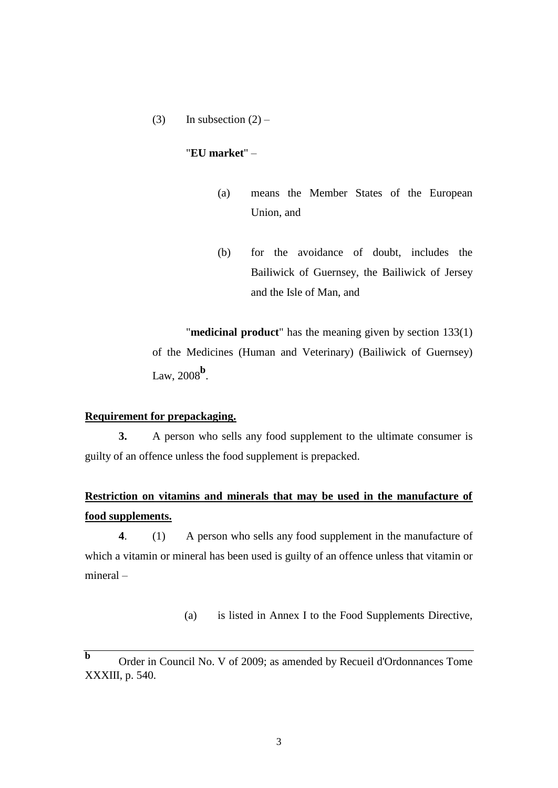(3) In subsection  $(2)$  –

# "**EU market**" –

- (a) means the Member States of the European Union, and
- (b) for the avoidance of doubt, includes the Bailiwick of Guernsey, the Bailiwick of Jersey and the Isle of Man, and

"**medicinal product**" has the meaning given by section 133(1) of the Medicines (Human and Veterinary) (Bailiwick of Guernsey) Law, 2008**<sup>b</sup>** .

# **Requirement for prepackaging.**

**3.** A person who sells any food supplement to the ultimate consumer is guilty of an offence unless the food supplement is prepacked.

# **Restriction on vitamins and minerals that may be used in the manufacture of food supplements.**

**4**. (1) A person who sells any food supplement in the manufacture of which a vitamin or mineral has been used is guilty of an offence unless that vitamin or mineral –

(a) is listed in Annex I to the Food Supplements Directive,

**b** Order in Council No. V of 2009; as amended by Recueil d'Ordonnances Tome XXXIII, p. 540.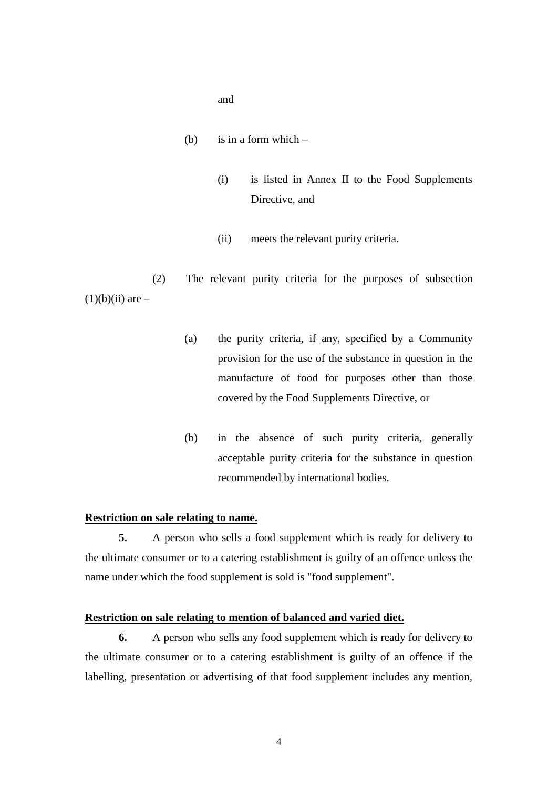and

- (b) is in a form which  $-$ 
	- (i) is listed in Annex II to the Food Supplements Directive, and
	- (ii) meets the relevant purity criteria.

(2) The relevant purity criteria for the purposes of subsection  $(1)(b)(ii)$  are  $-$ 

- (a) the purity criteria, if any, specified by a Community provision for the use of the substance in question in the manufacture of food for purposes other than those covered by the Food Supplements Directive, or
- (b) in the absence of such purity criteria, generally acceptable purity criteria for the substance in question recommended by international bodies.

## **Restriction on sale relating to name.**

**5.** A person who sells a food supplement which is ready for delivery to the ultimate consumer or to a catering establishment is guilty of an offence unless the name under which the food supplement is sold is "food supplement".

#### **Restriction on sale relating to mention of balanced and varied diet.**

**6.** A person who sells any food supplement which is ready for delivery to the ultimate consumer or to a catering establishment is guilty of an offence if the labelling, presentation or advertising of that food supplement includes any mention,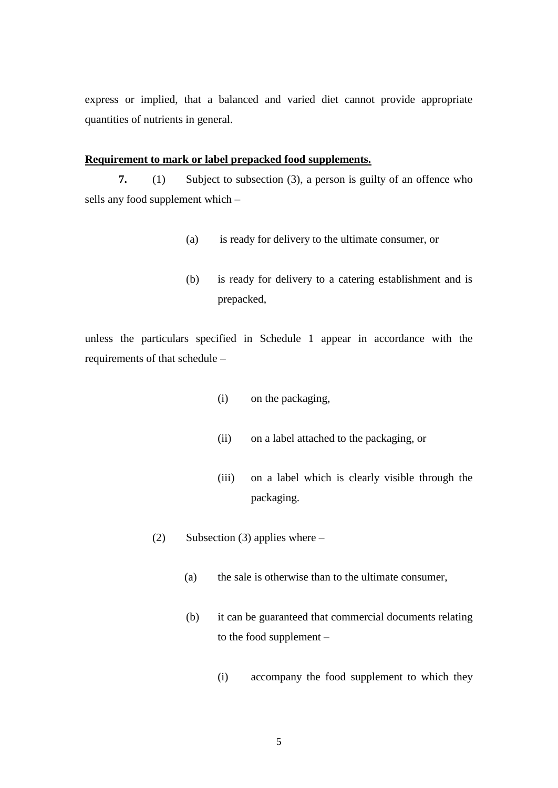express or implied, that a balanced and varied diet cannot provide appropriate quantities of nutrients in general.

### **Requirement to mark or label prepacked food supplements.**

**7.** (1) Subject to subsection (3), a person is guilty of an offence who sells any food supplement which –

- (a) is ready for delivery to the ultimate consumer, or
- (b) is ready for delivery to a catering establishment and is prepacked,

unless the particulars specified in Schedule 1 appear in accordance with the requirements of that schedule –

- (i) on the packaging,
- (ii) on a label attached to the packaging, or
- (iii) on a label which is clearly visible through the packaging.
- (2) Subsection (3) applies where
	- (a) the sale is otherwise than to the ultimate consumer,
	- (b) it can be guaranteed that commercial documents relating to the food supplement –
		- (i) accompany the food supplement to which they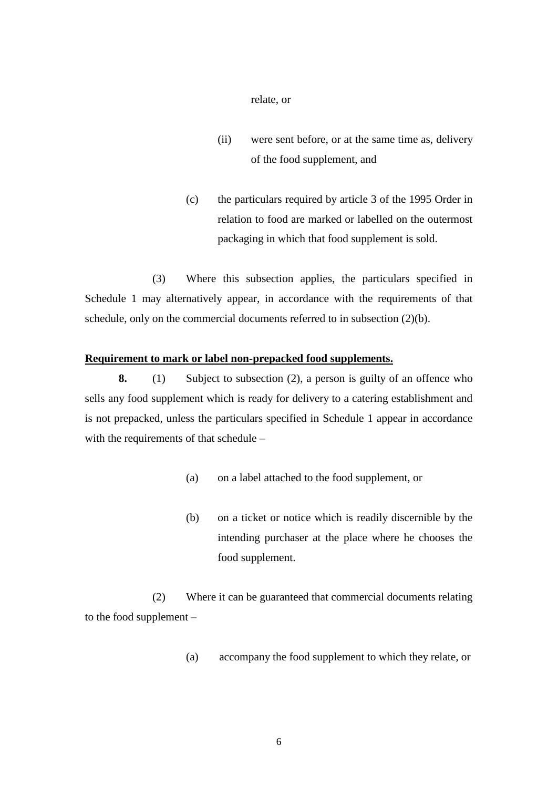relate, or

- (ii) were sent before, or at the same time as, delivery of the food supplement, and
- (c) the particulars required by article 3 of the 1995 Order in relation to food are marked or labelled on the outermost packaging in which that food supplement is sold.

(3) Where this subsection applies, the particulars specified in Schedule 1 may alternatively appear, in accordance with the requirements of that schedule, only on the commercial documents referred to in subsection (2)(b).

# **Requirement to mark or label non-prepacked food supplements.**

**8.** (1) Subject to subsection (2), a person is guilty of an offence who sells any food supplement which is ready for delivery to a catering establishment and is not prepacked, unless the particulars specified in Schedule 1 appear in accordance with the requirements of that schedule –

- (a) on a label attached to the food supplement, or
- (b) on a ticket or notice which is readily discernible by the intending purchaser at the place where he chooses the food supplement.

(2) Where it can be guaranteed that commercial documents relating to the food supplement –

(a) accompany the food supplement to which they relate, or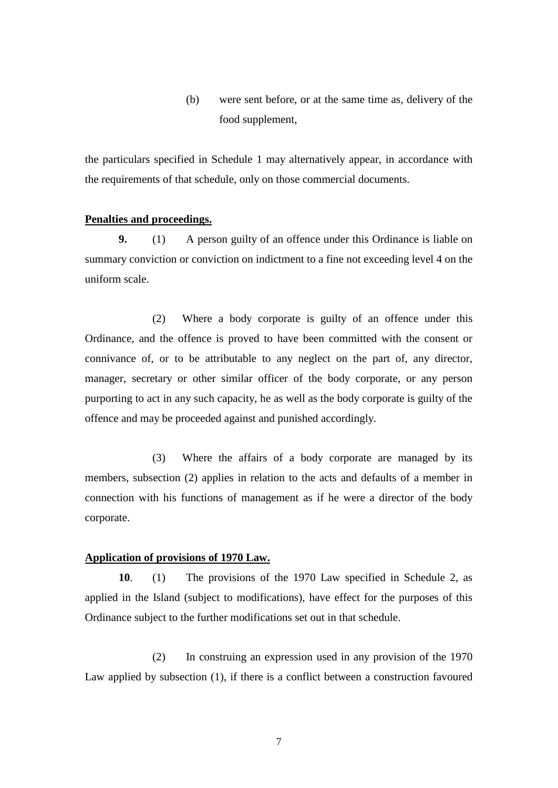(b) were sent before, or at the same time as, delivery of the food supplement,

the particulars specified in Schedule 1 may alternatively appear, in accordance with the requirements of that schedule, only on those commercial documents.

### **Penalties and proceedings.**

**9.** (1) A person guilty of an offence under this Ordinance is liable on summary conviction or conviction on indictment to a fine not exceeding level 4 on the uniform scale.

(2) Where a body corporate is guilty of an offence under this Ordinance, and the offence is proved to have been committed with the consent or connivance of, or to be attributable to any neglect on the part of, any director, manager, secretary or other similar officer of the body corporate, or any person purporting to act in any such capacity, he as well as the body corporate is guilty of the offence and may be proceeded against and punished accordingly.

(3) Where the affairs of a body corporate are managed by its members, subsection (2) applies in relation to the acts and defaults of a member in connection with his functions of management as if he were a director of the body corporate.

# **Application of provisions of 1970 Law.**

**10**. (1) The provisions of the 1970 Law specified in Schedule 2, as applied in the Island (subject to modifications), have effect for the purposes of this Ordinance subject to the further modifications set out in that schedule.

(2) In construing an expression used in any provision of the 1970 Law applied by subsection (1), if there is a conflict between a construction favoured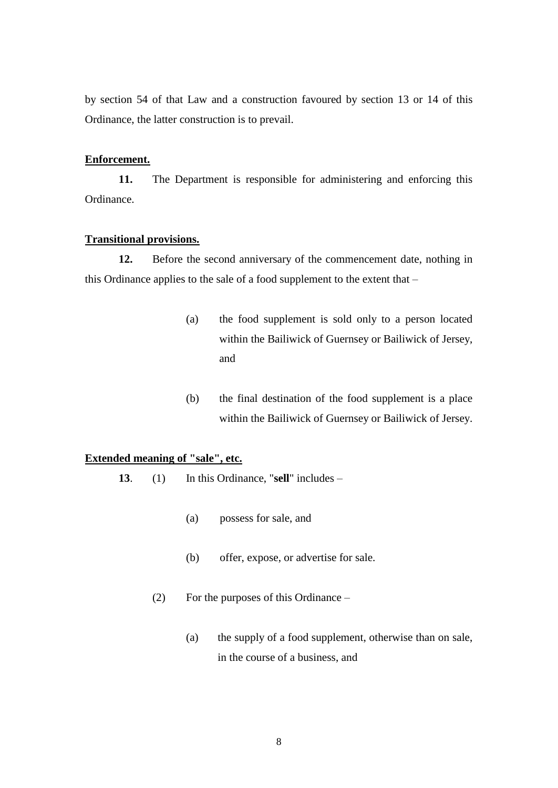by section 54 of that Law and a construction favoured by section 13 or 14 of this Ordinance, the latter construction is to prevail.

# **Enforcement.**

**11.** The Department is responsible for administering and enforcing this Ordinance.

### **Transitional provisions.**

**12.** Before the second anniversary of the commencement date, nothing in this Ordinance applies to the sale of a food supplement to the extent that –

- (a) the food supplement is sold only to a person located within the Bailiwick of Guernsey or Bailiwick of Jersey, and
- (b) the final destination of the food supplement is a place within the Bailiwick of Guernsey or Bailiwick of Jersey.

# **Extended meaning of "sale", etc.**

- **13**. (1) In this Ordinance, "**sell**" includes
	- (a) possess for sale, and
	- (b) offer, expose, or advertise for sale.
	- (2) For the purposes of this Ordinance
		- (a) the supply of a food supplement, otherwise than on sale, in the course of a business, and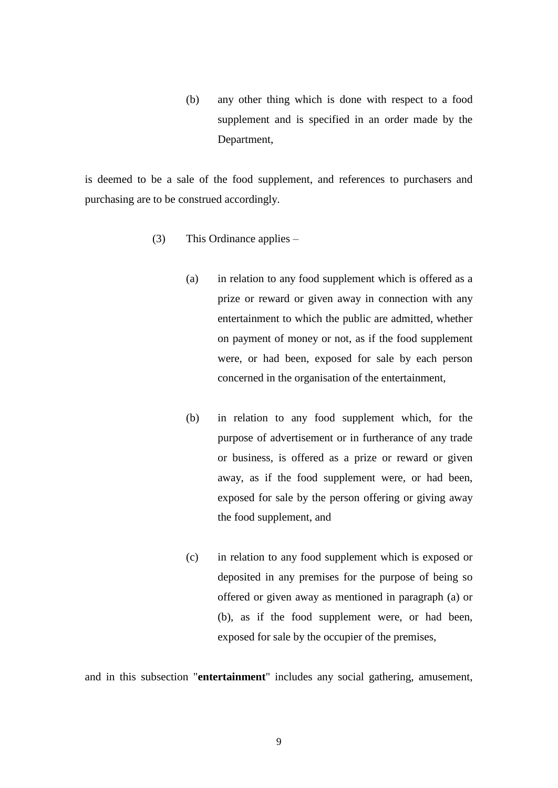(b) any other thing which is done with respect to a food supplement and is specified in an order made by the Department,

is deemed to be a sale of the food supplement, and references to purchasers and purchasing are to be construed accordingly.

- (3) This Ordinance applies
	- (a) in relation to any food supplement which is offered as a prize or reward or given away in connection with any entertainment to which the public are admitted, whether on payment of money or not, as if the food supplement were, or had been, exposed for sale by each person concerned in the organisation of the entertainment,
	- (b) in relation to any food supplement which, for the purpose of advertisement or in furtherance of any trade or business, is offered as a prize or reward or given away, as if the food supplement were, or had been, exposed for sale by the person offering or giving away the food supplement, and
	- (c) in relation to any food supplement which is exposed or deposited in any premises for the purpose of being so offered or given away as mentioned in paragraph (a) or (b), as if the food supplement were, or had been, exposed for sale by the occupier of the premises,

and in this subsection "**entertainment**" includes any social gathering, amusement,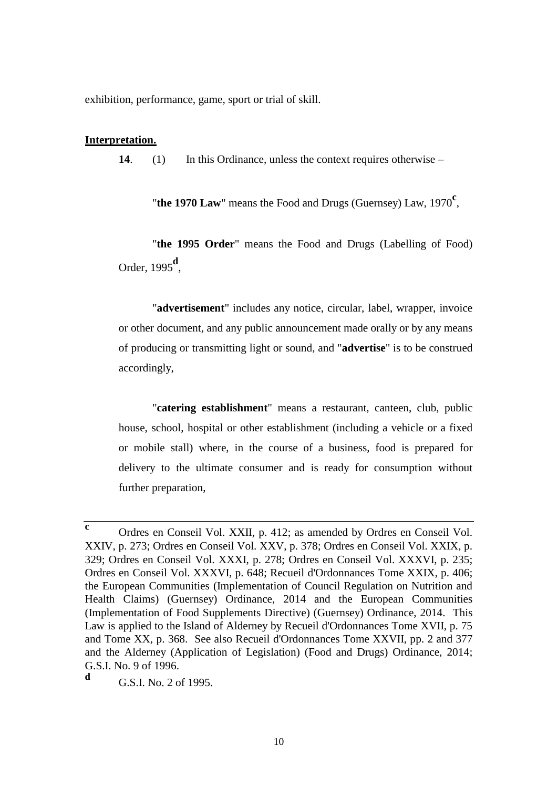exhibition, performance, game, sport or trial of skill.

### **Interpretation.**

**14**. (1) In this Ordinance, unless the context requires otherwise –

"**the 1970 Law**" means the Food and Drugs (Guernsey) Law, 1970**<sup>c</sup>** ,

"**the 1995 Order**" means the Food and Drugs (Labelling of Food) Order, 1995**<sup>d</sup>** ,

"**advertisement**" includes any notice, circular, label, wrapper, invoice or other document, and any public announcement made orally or by any means of producing or transmitting light or sound, and "**advertise**" is to be construed accordingly,

"**catering establishment**" means a restaurant, canteen, club, public house, school, hospital or other establishment (including a vehicle or a fixed or mobile stall) where, in the course of a business, food is prepared for delivery to the ultimate consumer and is ready for consumption without further preparation,

**c** Ordres en Conseil Vol. XXII, p. 412; as amended by Ordres en Conseil Vol. XXIV, p. 273; Ordres en Conseil Vol. XXV, p. 378; Ordres en Conseil Vol. XXIX, p. 329; Ordres en Conseil Vol. XXXI, p. 278; Ordres en Conseil Vol. XXXVI, p. 235; Ordres en Conseil Vol. XXXVI, p. 648; Recueil d'Ordonnances Tome XXIX, p. 406; the European Communities (Implementation of Council Regulation on Nutrition and Health Claims) (Guernsey) Ordinance, 2014 and the European Communities (Implementation of Food Supplements Directive) (Guernsey) Ordinance, 2014. This Law is applied to the Island of Alderney by Recueil d'Ordonnances Tome XVII, p. 75 and Tome XX, p. 368. See also Recueil d'Ordonnances Tome XXVII, pp. 2 and 377 and the Alderney (Application of Legislation) (Food and Drugs) Ordinance, 2014; G.S.I. No. 9 of 1996. **d**

G.S.I. No. 2 of 1995.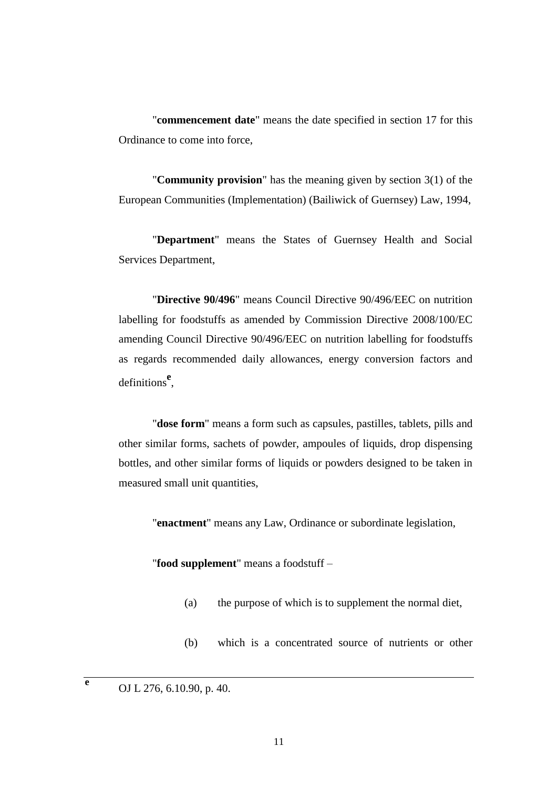"**commencement date**" means the date specified in section 17 for this Ordinance to come into force,

"**Community provision**" has the meaning given by section 3(1) of the European Communities (Implementation) (Bailiwick of Guernsey) Law, 1994,

"**Department**" means the States of Guernsey Health and Social Services Department,

"**Directive 90/496**" means Council Directive 90/496/EEC on nutrition labelling for foodstuffs as amended by Commission Directive 2008/100/EC amending Council Directive 90/496/EEC on nutrition labelling for foodstuffs as regards recommended daily allowances, energy conversion factors and definitions**<sup>e</sup>** ,

"**dose form**" means a form such as capsules, pastilles, tablets, pills and other similar forms, sachets of powder, ampoules of liquids, drop dispensing bottles, and other similar forms of liquids or powders designed to be taken in measured small unit quantities,

"**enactment**" means any Law, Ordinance or subordinate legislation,

"**food supplement**" means a foodstuff –

- (a) the purpose of which is to supplement the normal diet,
- (b) which is a concentrated source of nutrients or other

**e**

OJ L 276, 6.10.90, p. 40.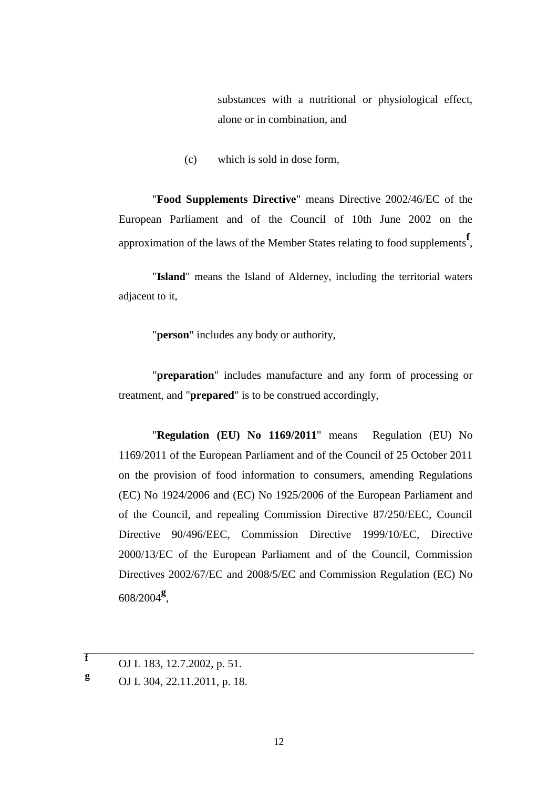substances with a nutritional or physiological effect, alone or in combination, and

(c) which is sold in dose form,

"**Food Supplements Directive**" means Directive 2002/46/EC of the European Parliament and of the Council of 10th June 2002 on the approximation of the laws of the Member States relating to food supplements<sup>f</sup>,

"**Island**" means the Island of Alderney, including the territorial waters adjacent to it,

"**person**" includes any body or authority,

"**preparation**" includes manufacture and any form of processing or treatment, and "**prepared**" is to be construed accordingly,

"**Regulation (EU) No 1169/2011**" means Regulation (EU) No 1169/2011 of the European Parliament and of the Council of 25 October 2011 on the provision of food information to consumers, amending Regulations (EC) No 1924/2006 and (EC) No 1925/2006 of the European Parliament and of the Council, and repealing Commission Directive 87/250/EEC, Council Directive 90/496/EEC, Commission Directive 1999/10/EC, Directive 2000/13/EC of the European Parliament and of the Council, Commission Directives 2002/67/EC and 2008/5/EC and Commission Regulation (EC) No 608/2004**<sup>g</sup>** ,

**f** OJ L 183, 12.7.2002, p. 51.

**g** OJ L 304, 22.11.2011, p. 18.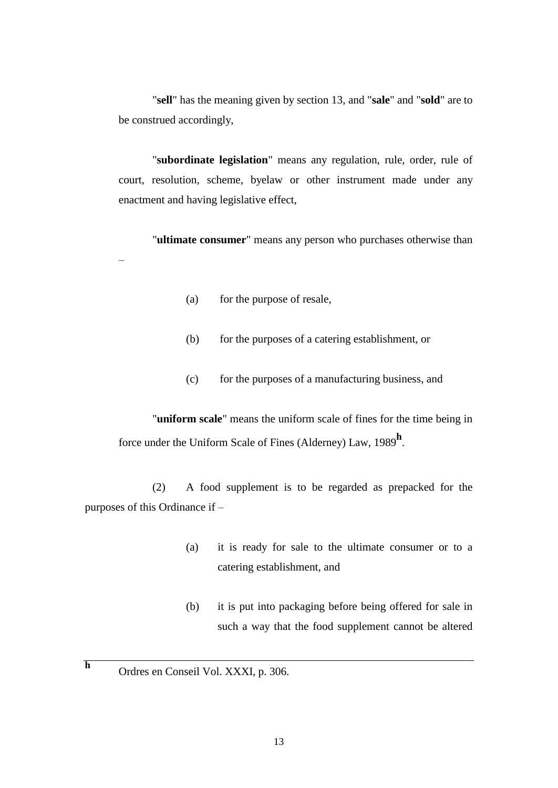"**sell**" has the meaning given by section 13, and "**sale**" and "**sold**" are to be construed accordingly,

"**subordinate legislation**" means any regulation, rule, order, rule of court, resolution, scheme, byelaw or other instrument made under any enactment and having legislative effect,

"**ultimate consumer**" means any person who purchases otherwise than –

- (a) for the purpose of resale,
- (b) for the purposes of a catering establishment, or
- (c) for the purposes of a manufacturing business, and

"**uniform scale**" means the uniform scale of fines for the time being in force under the Uniform Scale of Fines (Alderney) Law, <sup>1989</sup>**<sup>h</sup>** .

(2) A food supplement is to be regarded as prepacked for the purposes of this Ordinance if –

- (a) it is ready for sale to the ultimate consumer or to a catering establishment, and
- (b) it is put into packaging before being offered for sale in such a way that the food supplement cannot be altered
- **h** Ordres en Conseil Vol. XXXI, p. 306.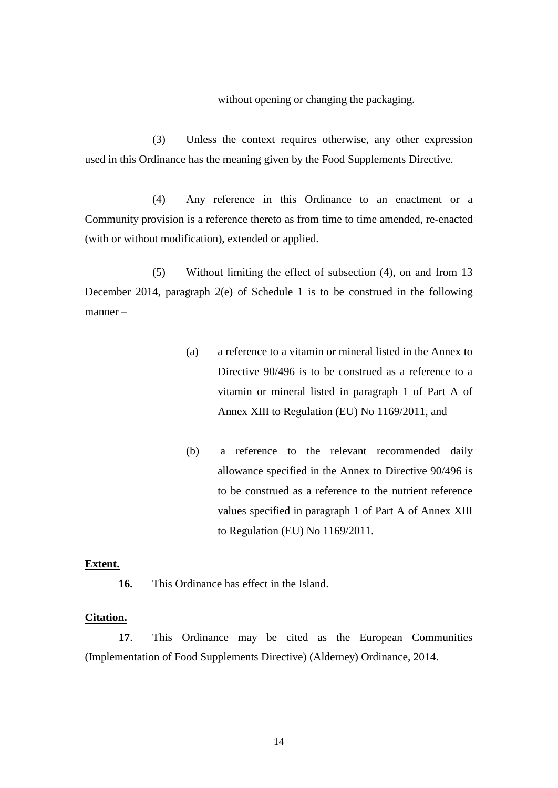without opening or changing the packaging.

(3) Unless the context requires otherwise, any other expression used in this Ordinance has the meaning given by the Food Supplements Directive.

(4) Any reference in this Ordinance to an enactment or a Community provision is a reference thereto as from time to time amended, re-enacted (with or without modification), extended or applied.

(5) Without limiting the effect of subsection (4), on and from 13 December 2014, paragraph 2(e) of Schedule 1 is to be construed in the following manner –

- (a) a reference to a vitamin or mineral listed in the Annex to Directive 90/496 is to be construed as a reference to a vitamin or mineral listed in paragraph 1 of Part A of Annex XIII to Regulation (EU) No 1169/2011, and
- (b) a reference to the relevant recommended daily allowance specified in the Annex to Directive 90/496 is to be construed as a reference to the nutrient reference values specified in paragraph 1 of Part A of Annex XIII to Regulation (EU) No 1169/2011.

#### **Extent.**

**16.** This Ordinance has effect in the Island.

#### **Citation.**

**17**. This Ordinance may be cited as the European Communities (Implementation of Food Supplements Directive) (Alderney) Ordinance, 2014.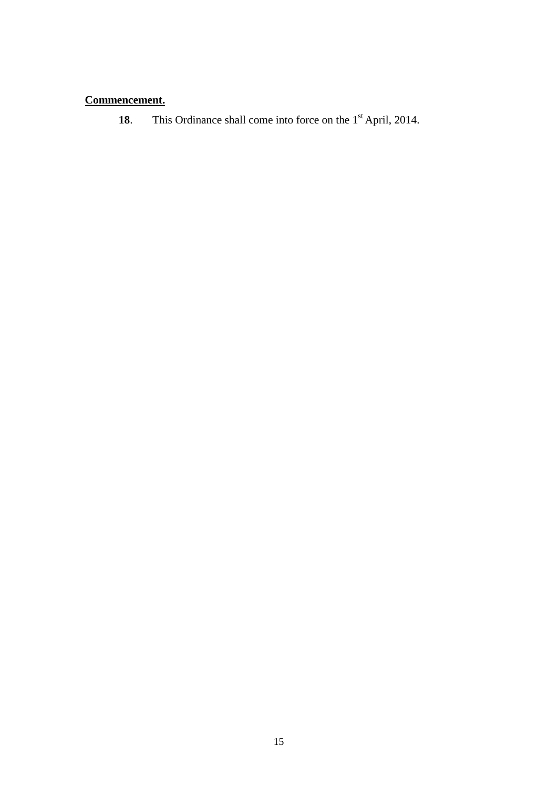# **Commencement.**

18. This Ordinance shall come into force on the 1<sup>st</sup> April, 2014.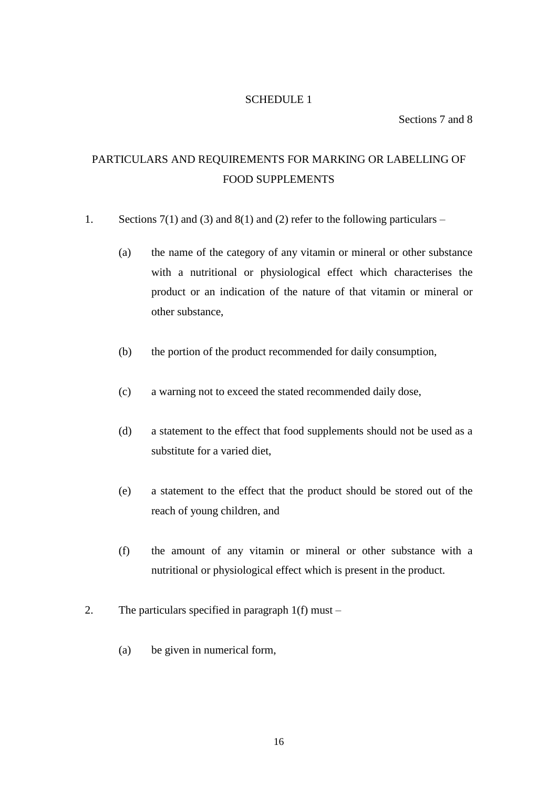# SCHEDULE 1

Sections 7 and 8

# PARTICULARS AND REQUIREMENTS FOR MARKING OR LABELLING OF FOOD SUPPLEMENTS

- 1. Sections  $7(1)$  and  $(3)$  and  $8(1)$  and  $(2)$  refer to the following particulars
	- (a) the name of the category of any vitamin or mineral or other substance with a nutritional or physiological effect which characterises the product or an indication of the nature of that vitamin or mineral or other substance,
	- (b) the portion of the product recommended for daily consumption,
	- (c) a warning not to exceed the stated recommended daily dose,
	- (d) a statement to the effect that food supplements should not be used as a substitute for a varied diet,
	- (e) a statement to the effect that the product should be stored out of the reach of young children, and
	- (f) the amount of any vitamin or mineral or other substance with a nutritional or physiological effect which is present in the product.
- 2. The particulars specified in paragraph 1(f) must
	- (a) be given in numerical form,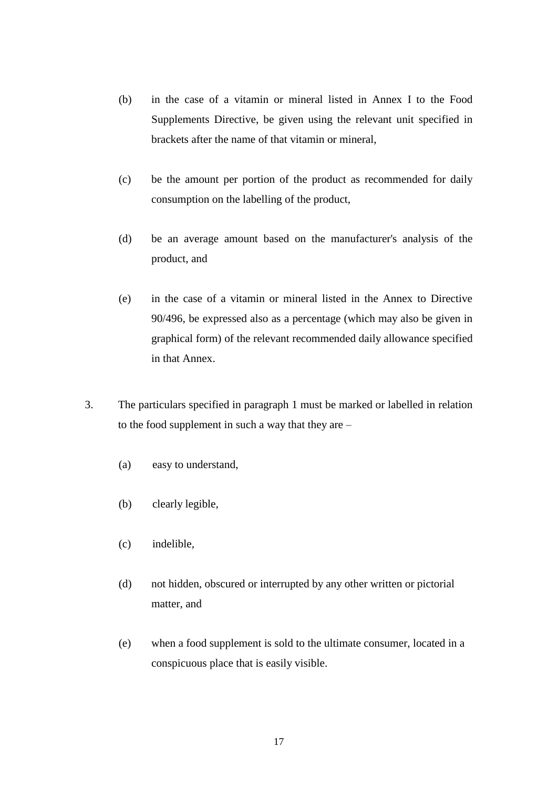- (b) in the case of a vitamin or mineral listed in Annex I to the Food Supplements Directive, be given using the relevant unit specified in brackets after the name of that vitamin or mineral,
- (c) be the amount per portion of the product as recommended for daily consumption on the labelling of the product,
- (d) be an average amount based on the manufacturer's analysis of the product, and
- (e) in the case of a vitamin or mineral listed in the Annex to Directive 90/496, be expressed also as a percentage (which may also be given in graphical form) of the relevant recommended daily allowance specified in that Annex.
- 3. The particulars specified in paragraph 1 must be marked or labelled in relation to the food supplement in such a way that they are –
	- (a) easy to understand,
	- (b) clearly legible,
	- (c) indelible,
	- (d) not hidden, obscured or interrupted by any other written or pictorial matter, and
	- (e) when a food supplement is sold to the ultimate consumer, located in a conspicuous place that is easily visible.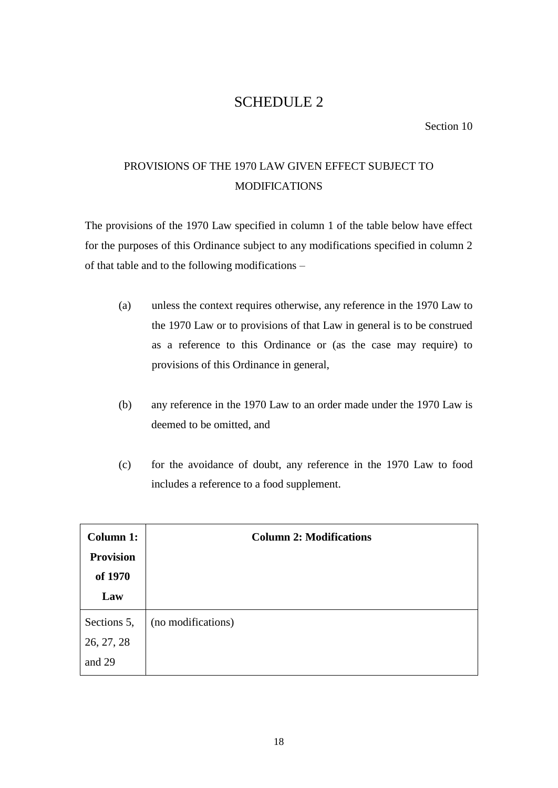# SCHEDULE 2

Section 10

# PROVISIONS OF THE 1970 LAW GIVEN EFFECT SUBJECT TO MODIFICATIONS

The provisions of the 1970 Law specified in column 1 of the table below have effect for the purposes of this Ordinance subject to any modifications specified in column 2 of that table and to the following modifications –

- (a) unless the context requires otherwise, any reference in the 1970 Law to the 1970 Law or to provisions of that Law in general is to be construed as a reference to this Ordinance or (as the case may require) to provisions of this Ordinance in general,
- (b) any reference in the 1970 Law to an order made under the 1970 Law is deemed to be omitted, and
- (c) for the avoidance of doubt, any reference in the 1970 Law to food includes a reference to a food supplement.

| <b>Column 1:</b>                    | <b>Column 2: Modifications</b> |
|-------------------------------------|--------------------------------|
| <b>Provision</b><br>of 1970         |                                |
| Law                                 |                                |
| Sections 5,<br>26, 27, 28<br>and 29 | (no modifications)             |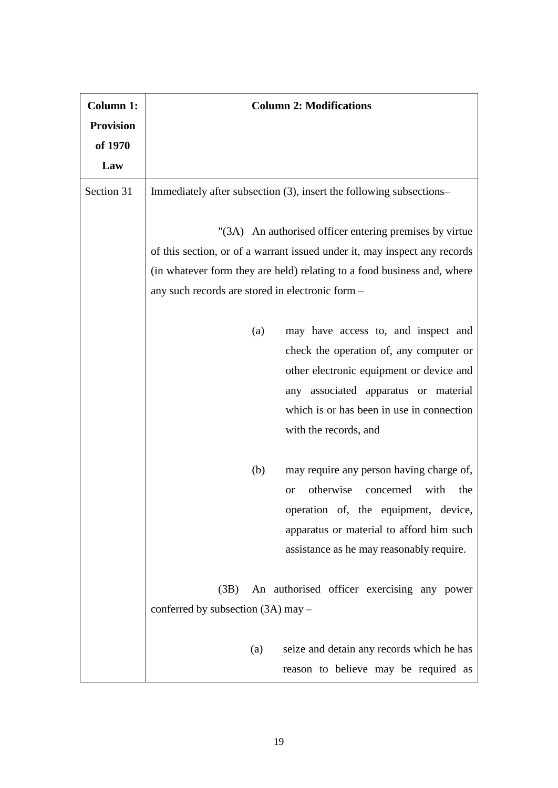| <b>Column 1:</b> | <b>Column 2: Modifications</b>                                            |
|------------------|---------------------------------------------------------------------------|
| <b>Provision</b> |                                                                           |
| of 1970          |                                                                           |
| Law              |                                                                           |
| Section 31       | Immediately after subsection (3), insert the following subsections-       |
|                  | "(3A) An authorised officer entering premises by virtue                   |
|                  | of this section, or of a warrant issued under it, may inspect any records |
|                  | (in whatever form they are held) relating to a food business and, where   |
|                  | any such records are stored in electronic form -                          |
|                  | may have access to, and inspect and<br>(a)                                |
|                  | check the operation of, any computer or                                   |
|                  | other electronic equipment or device and                                  |
|                  | any associated apparatus or material                                      |
|                  | which is or has been in use in connection                                 |
|                  | with the records, and                                                     |
|                  | may require any person having charge of,<br>(b)                           |
|                  | otherwise<br>concerned<br>with<br>the<br><b>or</b>                        |
|                  | operation of, the equipment, device,                                      |
|                  | apparatus or material to afford him such                                  |
|                  | assistance as he may reasonably require.                                  |
|                  |                                                                           |
|                  | An authorised officer exercising any power<br>(3B)                        |
|                  | conferred by subsection (3A) may -                                        |
|                  | seize and detain any records which he has<br>(a)                          |
|                  | reason to believe may be required as                                      |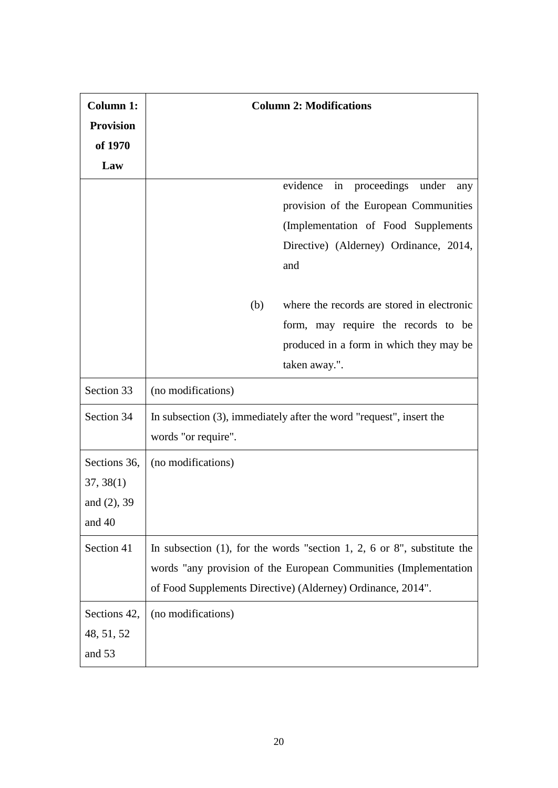| <b>Column 1:</b> | <b>Column 2: Modifications</b>                                             |
|------------------|----------------------------------------------------------------------------|
| <b>Provision</b> |                                                                            |
| of 1970          |                                                                            |
| Law              |                                                                            |
|                  | evidence<br>in proceedings under<br>any                                    |
|                  | provision of the European Communities                                      |
|                  | (Implementation of Food Supplements)                                       |
|                  | Directive) (Alderney) Ordinance, 2014,                                     |
|                  | and                                                                        |
|                  |                                                                            |
|                  | where the records are stored in electronic<br>(b)                          |
|                  | form, may require the records to be                                        |
|                  | produced in a form in which they may be                                    |
|                  | taken away.".                                                              |
| Section 33       | (no modifications)                                                         |
| Section 34       | In subsection $(3)$ , immediately after the word "request", insert the     |
|                  | words "or require".                                                        |
| Sections 36,     | (no modifications)                                                         |
| 37, 38(1)        |                                                                            |
| and $(2)$ , 39   |                                                                            |
| and 40           |                                                                            |
| Section 41       | In subsection $(1)$ , for the words "section 1, 2, 6 or 8", substitute the |
|                  | words "any provision of the European Communities (Implementation           |
|                  | of Food Supplements Directive) (Alderney) Ordinance, 2014".                |
|                  |                                                                            |
| Sections 42,     | (no modifications)                                                         |
| 48, 51, 52       |                                                                            |
| and 53           |                                                                            |